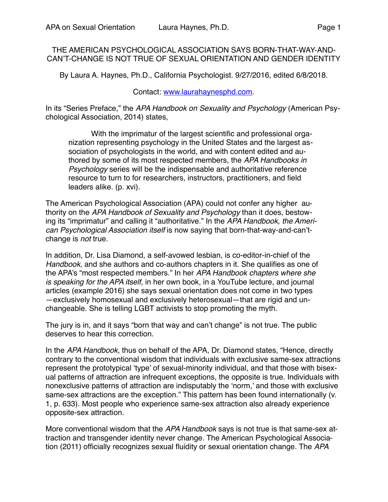THE AMERICAN PSYCHOLOGICAL ASSOCIATION SAYS BORN-THAT-WAY-AND-CAN'T-CHANGE IS NOT TRUE OF SEXUAL ORIENTATION AND GENDER IDENTITY

By Laura A. Haynes, Ph.D., California Psychologist. 9/27/2016, edited 6/8/2018.

## Contact: [www.laurahaynesphd.com](http://www.laurahaynesphd.com).

In its "Series Preface," the *APA Handbook on Sexuality and Psychology* (American Psychological Association, 2014) states,

With the imprimatur of the largest scientific and professional organization representing psychology in the United States and the largest association of psychologists in the world, and with content edited and authored by some of its most respected members, the *APA Handbooks in Psychology* series will be the indispensable and authoritative reference resource to turn to for researchers, instructors, practitioners, and field leaders alike. (p. xvi).

The American Psychological Association (APA) could not confer any higher authority on the *APA Handbook of Sexuality and Psychology* than it does, bestowing its "imprimatur" and calling it "authoritative." In the *APA Handbook*, *the American Psychological Association itself* is now saying that born-that-way-and-can'tchange is *not* true.

In addition, Dr. Lisa Diamond, a self-avowed lesbian, is co-editor-in-chief of the *Handbook*, and she authors and co-authors chapters in it. She qualifies as one of the APA's "most respected members." In her *APA Handbook chapters where she is speaking for the APA itself,* in her own book, in a YouTube lecture, and journal articles (example 2016) she says sexual orientation does not come in two types —exclusively homosexual and exclusively heterosexual—that are rigid and unchangeable. She is telling LGBT activists to stop promoting the myth.

The jury is in, and it says "born that way and can't change" is not true. The public deserves to hear this correction.

In the *APA Handbook,* thus on behalf of the APA, Dr. Diamond states, "Hence, directly contrary to the conventional wisdom that individuals with exclusive same-sex attractions represent the prototypical 'type' of sexual-minority individual, and that those with bisexual patterns of attraction are infrequent exceptions, the opposite is true. Individuals with nonexclusive patterns of attraction are indisputably the 'norm,' and those with exclusive same-sex attractions are the exception." This pattern has been found internationally (v. 1, p. 633). Most people who experience same-sex attraction also already experience opposite-sex attraction.

More conventional wisdom that the *APA Handbook* says is not true is that same-sex attraction and transgender identity never change. The American Psychological Association (2011) officially recognizes sexual fluidity or sexual orientation change. The *APA*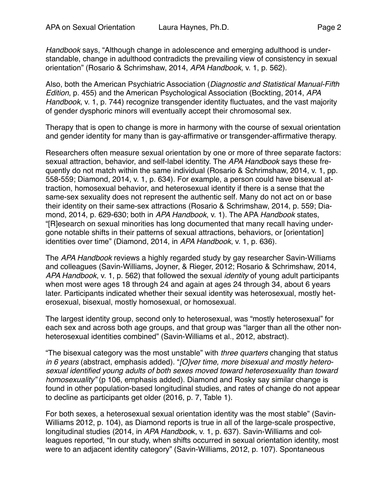*Handbook* says, "Although change in adolescence and emerging adulthood is understandable, change in adulthood contradicts the prevailing view of consistency in sexual orientation" (Rosario & Schrimshaw, 2014, *APA Handbook*, v. 1, p. 562).

Also, both the American Psychiatric Association (*Diagnostic and Statistical Manual-Fifth Edition*, p. 455) and the American Psychological Association (Bockting, 2014, *APA Handbook*, v. 1, p. 744) recognize transgender identity fluctuates, and the vast majority of gender dysphoric minors will eventually accept their chromosomal sex.

Therapy that is open to change is more in harmony with the course of sexual orientation and gender identity for many than is gay-affirmative or transgender-affirmative therapy.

Researchers often measure sexual orientation by one or more of three separate factors: sexual attraction, behavior, and self-label identity. The *APA Handbook* says these frequently do not match within the same individual (Rosario & Schrimshaw, 2014, v. 1, pp. 558-559; Diamond, 2014, v. 1, p. 634). For example, a person could have bisexual attraction, homosexual behavior, and heterosexual identity if there is a sense that the same-sex sexuality does not represent the authentic self. Many do not act on or base their identity on their same-sex attractions (Rosario & Schrimshaw, 2014, p. 559; Diamond, 2014, p. 629-630; both in *APA Handbook*, v. 1). The APA *Handbook* states, "[R]esearch on sexual minorities has long documented that many recall having undergone notable shifts in their patterns of sexual attractions, behaviors, or [orientation] identities over time" (Diamond, 2014, in *APA Handbook*, v. 1, p. 636).

The *APA Handbook* reviews a highly regarded study by gay researcher Savin-Williams and colleagues (Savin-Williams, Joyner, & Rieger, 2012; Rosario & Schrimshaw, 2014, *APA Handbook*, v. 1, p. 562) that followed the sexual *identity* of young adult participants when most were ages 18 through 24 and again at ages 24 through 34, about 6 years later. Participants indicated whether their sexual identity was heterosexual, mostly heterosexual, bisexual, mostly homosexual, or homosexual.

The largest identity group, second only to heterosexual, was "mostly heterosexual" for each sex and across both age groups, and that group was "larger than all the other nonheterosexual identities combined" (Savin-Williams et al., 2012, abstract).

"The bisexual category was the most unstable" with *three quarters* changing that status *in 6 years* (abstract, emphasis added). "*[O]ver time, more bisexual and mostly heterosexual identified young adults of both sexes moved toward heterosexuality than toward homosexuality"* (p 106, emphasis added). Diamond and Rosky say similar change is found in other population-based longitudinal studies, and rates of change do not appear to decline as participants get older (2016, p. 7, Table 1).

For both sexes, a heterosexual sexual orientation identity was the most stable" (Savin-Williams 2012, p. 104), as Diamond reports is true in all of the large-scale prospective, longitudinal studies (2014, in *APA Handboo*k, v. 1, p. 637). Savin-Williams and colleagues reported, "In our study, when shifts occurred in sexual orientation identity, most were to an adjacent identity category" (Savin-Williams, 2012, p. 107). Spontaneous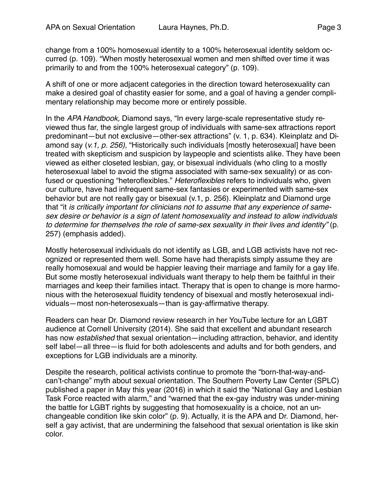change from a 100% homosexual identity to a 100% heterosexual identity seldom occurred (p. 109). "When mostly heterosexual women and men shifted over time it was primarily to and from the 100% heterosexual category" (p. 109).

A shift of one or more adjacent categories in the direction toward heterosexuality can make a desired goal of chastity easier for some, and a goal of having a gender complimentary relationship may become more or entirely possible.

In the *APA Handbook,* Diamond says, "In every large-scale representative study reviewed thus far, the single largest group of individuals with same-sex attractions report predominant—but not exclusive—other-sex attractions" (v. 1, p. 634). Kleinplatz and Diamond say (*v.1, p. 256)*, "Historically such individuals [mostly heterosexual] have been treated with skepticism and suspicion by laypeople and scientists alike. They have been viewed as either closeted lesbian, gay, or bisexual individuals (who cling to a mostly heterosexual label to avoid the stigma associated with same-sex sexuality) or as confused or questioning "heteroflexibles." *Heteroflexibles* refers to individuals who, given our culture, have had infrequent same-sex fantasies or experimented with same-sex behavior but are not really gay or bisexual (v.1, p. 256). Kleinplatz and Diamond urge that "it *is critically important for clinicians not to assume that any experience of samesex desire or behavior is a sign of latent homosexuality and instead to allow individuals to determine for themselves the role of same-sex sexuality in their lives and identity"* (p. 257) (emphasis added).

Mostly heterosexual individuals do not identify as LGB, and LGB activists have not recognized or represented them well. Some have had therapists simply assume they are really homosexual and would be happier leaving their marriage and family for a gay life. But some mostly heterosexual individuals want therapy to help them be faithful in their marriages and keep their families intact. Therapy that is open to change is more harmonious with the heterosexual fluidity tendency of bisexual and mostly heterosexual individuals—most non-heterosexuals—than is gay-affirmative therapy.

Readers can hear Dr. Diamond review research in her YouTube lecture for an LGBT audience at Cornell University (2014). She said that excellent and abundant research has now *established* that sexual orientation—including attraction, behavior, and identity self label—all three—is fluid for both adolescents and adults and for both genders, and exceptions for LGB individuals are a minority.

Despite the research, political activists continue to promote the "born-that-way-andcan't-change" myth about sexual orientation. The Southern Poverty Law Center (SPLC) published a paper in May this year (2016) in which it said the "National Gay and Lesbian Task Force reacted with alarm," and "warned that the ex-gay industry was under-mining the battle for LGBT rights by suggesting that homosexuality is a choice, not an unchangeable condition like skin color" (p. 9). Actually, it is the APA and Dr. Diamond, herself a gay activist, that are undermining the falsehood that sexual orientation is like skin color.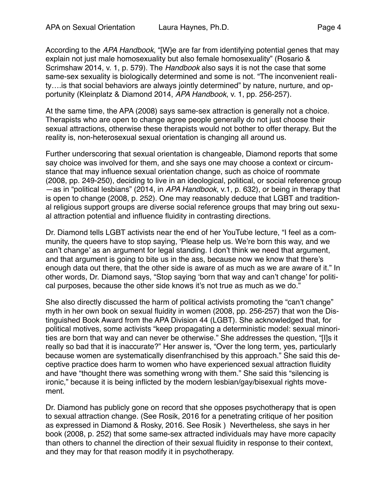According to the *APA Handbook*, "[W}e are far from identifying potential genes that may explain not just male homosexuality but also female homosexuality" (Rosario & Scrimshaw 2014, v. 1, p. 579). The *Handbook* also says it is not the case that some same-sex sexuality is biologically determined and some is not. "The inconvenient reality….is that social behaviors are always jointly determined" by nature, nurture, and opportunity (Kleinplatz & Diamond 2014, *APA Handbook*, v. 1, pp. 256-257).

At the same time, the APA (2008) says same-sex attraction is generally not a choice. Therapists who are open to change agree people generally do not just choose their sexual attractions, otherwise these therapists would not bother to offer therapy. But the reality is, non-heterosexual sexual orientation is changing all around us.

Further underscoring that sexual orientation is changeable, Diamond reports that some say choice was involved for them, and she says one may choose a context or circumstance that may influence sexual orientation change, such as choice of roommate (2008, pp. 249-250), deciding to live in an ideological, political, or social reference group —as in "political lesbians" (2014, in *APA Handbook*, v.1, p. 632), or being in therapy that is open to change (2008, p. 252). One may reasonably deduce that LGBT and traditional religious support groups are diverse social reference groups that may bring out sexual attraction potential and influence fluidity in contrasting directions.

Dr. Diamond tells LGBT activists near the end of her YouTube lecture, "I feel as a community, the queers have to stop saying, 'Please help us. We're born this way, and we can't change' as an argument for legal standing. I don't think we need that argument, and that argument is going to bite us in the ass, because now we know that there's enough data out there, that the other side is aware of as much as we are aware of it." In other words, Dr. Diamond says, "Stop saying 'born that way and can't change' for political purposes, because the other side knows it's not true as much as we do."

She also directly discussed the harm of political activists promoting the "can't change" myth in her own book on sexual fluidity in women (2008, pp. 256-257) that won the Distinguished Book Award from the APA Division 44 (LGBT). She acknowledged that, for political motives, some activists "keep propagating a deterministic model: sexual minorities are born that way and can never be otherwise." She addresses the question, "[I]s it really so bad that it is inaccurate?" Her answer is, "Over the long term, yes, particularly because women are systematically disenfranchised by this approach." She said this deceptive practice does harm to women who have experienced sexual attraction fluidity and have "thought there was something wrong with them." She said this "silencing is ironic," because it is being inflicted by the modern lesbian/gay/bisexual rights movement.

Dr. Diamond has publicly gone on record that she opposes psychotherapy that is open to sexual attraction change. (See Rosik, 2016 for a penetrating critique of her position as expressed in Diamond & Rosky, 2016. See Rosik ) Nevertheless, she says in her book (2008, p. 252) that some same-sex attracted individuals may have more capacity than others to channel the direction of their sexual fluidity in response to their context, and they may for that reason modify it in psychotherapy.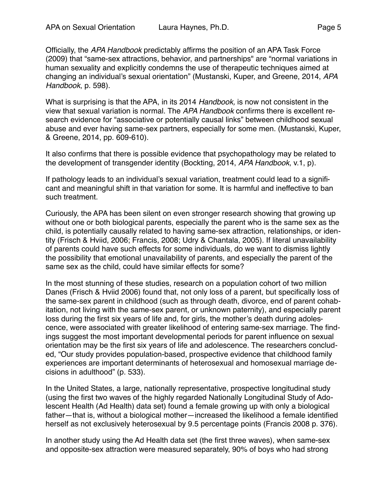Officially, the *APA Handbook* predictably affirms the position of an APA Task Force (2009) that "same-sex attractions, behavior, and partnerships" are "normal variations in human sexuality and explicitly condemns the use of therapeutic techniques aimed at changing an individual's sexual orientation" (Mustanski, Kuper, and Greene, 2014, *APA Handbook*, p. 598).

What is surprising is that the APA, in its 2014 *Handbook,* is now not consistent in the view that sexual variation is normal. The *APA Handbook* confirms there is excellent research evidence for "associative or potentially causal links" between childhood sexual abuse and ever having same-sex partners, especially for some men. (Mustanski, Kuper, & Greene, 2014, pp. 609-610).

It also confirms that there is possible evidence that psychopathology may be related to the development of transgender identity (Bockting, 2014, *APA Handbook*, v.1, p).

If pathology leads to an individual's sexual variation, treatment could lead to a significant and meaningful shift in that variation for some. It is harmful and ineffective to ban such treatment.

Curiously, the APA has been silent on even stronger research showing that growing up without one or both biological parents, especially the parent who is the same sex as the child, is potentially causally related to having same-sex attraction, relationships, or identity (Frisch & Hviid, 2006; Francis, 2008; Udry & Chantala, 2005). If literal unavailability of parents could have such effects for some individuals, do we want to dismiss lightly the possibility that emotional unavailability of parents, and especially the parent of the same sex as the child, could have similar effects for some?

In the most stunning of these studies, research on a population cohort of two million Danes (Frisch & Hviid 2006) found that, not only loss of a parent, but specifically loss of the same-sex parent in childhood (such as through death, divorce, end of parent cohabitation, not living with the same-sex parent, or unknown paternity), and especially parent loss during the first six years of life and, for girls, the mother's death during adolescence, were associated with greater likelihood of entering same-sex marriage. The findings suggest the most important developmental periods for parent influence on sexual orientation may be the first six years of life and adolescence. The researchers concluded, "Our study provides population-based, prospective evidence that childhood family experiences are important determinants of heterosexual and homosexual marriage decisions in adulthood" (p. 533).

In the United States, a large, nationally representative, prospective longitudinal study (using the first two waves of the highly regarded Nationally Longitudinal Study of Adolescent Health (Ad Health) data set) found a female growing up with only a biological father—that is, without a biological mother—increased the likelihood a female identified herself as not exclusively heterosexual by 9.5 percentage points (Francis 2008 p. 376).

In another study using the Ad Health data set (the first three waves), when same-sex and opposite-sex attraction were measured separately, 90% of boys who had strong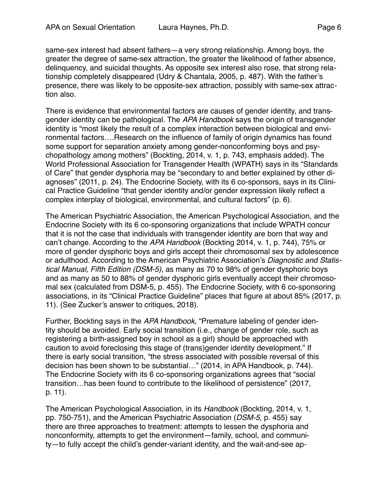same-sex interest had absent fathers—a very strong relationship. Among boys, the greater the degree of same-sex attraction, the greater the likelihood of father absence, delinquency, and suicidal thoughts. As opposite sex interest also rose, that strong relationship completely disappeared (Udry & Chantala, 2005, p. 487). With the father's presence, there was likely to be opposite-sex attraction, possibly with same-sex attraction also.

There is evidence that environmental factors are causes of gender identity, and transgender identity can be pathological. The *APA Handbook* says the origin of transgender identity is "most likely the result of a complex interaction between biological and environmental factors….Research on the influence of family of origin dynamics has found some support for separation anxiety among gender-nonconforming boys and psychopathology among mothers" (Bockting, 2014, v. 1, p. 743, emphasis added). The World Professional Association for Transgender Health (WPATH) says in its "Standards of Care" that gender dysphoria may be "secondary to and better explained by other diagnoses" (2011, p. 24). The Endocrine Society, with its 6 co-sponsors, says in its Clinical Practice Guideline "that gender identity and/or gender expression likely reflect a complex interplay of biological, environmental, and cultural factors" (p. 6).

The American Psychiatric Association, the American Psychological Association, and the Endocrine Society with its 6 co-sponsoring organizations that include WPATH concur that it is not the case that individuals with transgender identity are born that way and can't change. According to the *APA Handbook* (Bockting 2014, v. 1, p. 744), 75% or more of gender dysphoric boys and girls accept their chromosomal sex by adolescence or adulthood. According to the American Psychiatric Association's *Diagnostic and Statistical Manual, Fifth Edition (DSM-5)*, as many as 70 to 98% of gender dysphoric boys and as many as 50 to 88% of gender dysphoric girls eventually accept their chromosomal sex (calculated from DSM-5, p. 455). The Endocrine Society, with 6 co-sponsoring associations, in its "Clinical Practice Guideline" places that figure at about 85% (2017, p. 11). (See Zucker's answer to critiques, 2018).

Further, Bockting says in the *APA Handbook*, "Premature labeling of gender identity should be avoided. Early social transition (i.e., change of gender role, such as registering a birth-assigned boy in school as a girl) should be approached with caution to avoid foreclosing this stage of (trans)gender identity development." If there is early social transition, "the stress associated with possible reversal of this decision has been shown to be substantial…" (2014, in APA Handbook, p. 744). The Endocrine Society with its 6 co-sponsoring organizations agrees that "social transition…has been found to contribute to the likelihood of persistence" (2017, p. 11).

The American Psychological Association, in its *Handbook* (Bockting, 2014, v. 1, pp. 750-751), and the American Psychiatric Association (*DSM-5*, p. 455) say there are three approaches to treatment: attempts to lessen the dysphoria and nonconformity, attempts to get the environment—family, school, and community—to fully accept the child's gender-variant identity, and the wait-and-see ap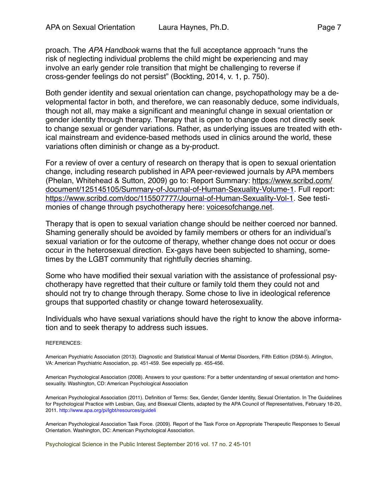proach. The *APA Handbook* warns that the full acceptance approach "runs the risk of neglecting individual problems the child might be experiencing and may involve an early gender role transition that might be challenging to reverse if cross-gender feelings do not persist" (Bockting, 2014, v. 1, p. 750).

Both gender identity and sexual orientation can change, psychopathology may be a developmental factor in both, and therefore, we can reasonably deduce, some individuals, though not all, may make a significant and meaningful change in sexual orientation or gender identity through therapy. Therapy that is open to change does not directly seek to change sexual or gender variations. Rather, as underlying issues are treated with ethical mainstream and evidence-based methods used in clinics around the world, these variations often diminish or change as a by-product.

For a review of over a century of research on therapy that is open to sexual orientation change, including research published in APA peer-reviewed journals by APA members [\(Phelan, Whitehead & Sutton, 2009\) go to: Report Summary: https://www.scribd.com/](https://www.scribd.com/document/125145105/Summary-of-Journal-of-Human-Sexuality-Volume-1) [document/125145105/Summary-of-Journal-of-Human-Sexuality-Volume-1](https://www.scribd.com/document/125145105/Summary-of-Journal-of-Human-Sexuality-Volume-1). Full report: <https://www.scribd.com/doc/115507777/Journal-of-Human-Sexuality-Vol-1>. See testimonies of change through psychotherapy here: [voicesofchange.net.](http://voicesofchange.net)

Therapy that is open to sexual variation change should be neither coerced nor banned. Shaming generally should be avoided by family members or others for an individual's sexual variation or for the outcome of therapy, whether change does not occur or does occur in the heterosexual direction. Ex-gays have been subjected to shaming, sometimes by the LGBT community that rightfully decries shaming.

Some who have modified their sexual variation with the assistance of professional psychotherapy have regretted that their culture or family told them they could not and should not try to change through therapy. Some chose to live in ideological reference groups that supported chastity or change toward heterosexuality.

Individuals who have sexual variations should have the right to know the above information and to seek therapy to address such issues.

## REFERENCES:

American Psychiatric Association (2013). Diagnostic and Statistical Manual of Mental Disorders, Fifth Edition (DSM-5). Arlington, VA: American Psychiatric Association, pp. 451-459. See especially pp. 455-456.

American Psychological Association (2008). Answers to your questions: For a better understanding of sexual orientation and homosexuality. Washington, CD: American Psychological Association

American Psychological Association (2011). Definition of Terms: Sex, Gender, Gender Identity, Sexual Orientation. In The Guidelines for Psychological Practice with Lesbian, Gay, and Bisexual Clients, adapted by the APA Council of Representatives, February 18-20, 2011. <http://www.apa.org/pi/lgbt/resources/guideli>

American Psychological Association Task Force. (2009). Report of the Task Force on Appropriate Therapeutic Responses to Sexual Orientation. Washington, DC: American Psychological Association.

Psychological Science in the Public Interest September 2016 vol. 17 no. 2 45-101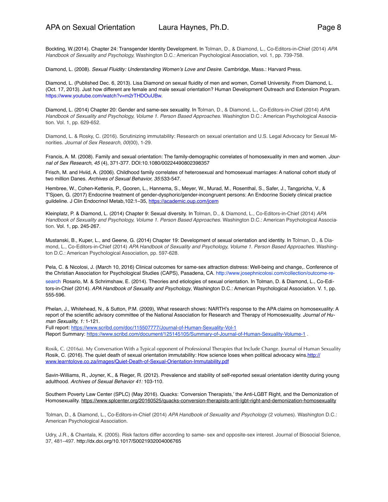Bockting, W.(2014). Chapter 24: Transgender Identity Development. In Tolman, D., & Diamond, L., Co-Editors-in-Chief (2014) *APA Handbook of Sexuality and Psychology,* Washington D.C.: American Psychological Association, vol. 1, pp. 739-758.

Diamond, L. (2008). *Sexual Fluidity: Understanding Women's Love and Desire*. Cambridge, Mass.: Harvard Press.

Diamond, L. (Published Dec. 6, 2013). Lisa Diamond on sexual fluidity of men and women, Cornell University. From Diamond, L. (Oct. 17, 2013). Just how different are female and male sexual orientation? Human Development Outreach and Extension Program. [https://www.youtube.com/watch?v=m2rTHDOuUBw.](https://www.youtube.com/watch?v=m2rTHDOuUBw)

Diamond, L. (2014) Chapter 20: Gender and same-sex sexuality. In Tolman, D., & Diamond, L., Co-Editors-in-Chief (2014) *APA Handbook of Sexuality and Psychology, Volume 1. Person Based Approaches.* Washington D.C.: American Psychological Association. Vol. 1, pp. 629-652.

Diamond, L. & Rosky, C. (2016). Scrutinizing immutability: Research on sexual orientation and U.S. Legal Advocacy for Sexual Minorities. *Journal of Sex Research, 00*(00), 1-29.

Francis, A. M. (2008). Family and sexual orientation: The family-demographic correlates of homosexuality in men and women. *Journal of Sex Research, 45* (4), 371-377. DOI:10.1080/00224490802398357

Frisch, M. and Hviid, A. (2006). Childhood family correlates of heterosexual and homosexual marriages: A national cohort study of two million Danes. *Archives of Sexual Behavior, 35*:533-547.

Hembree, W., Cohen-Kettenis, P., Gooren, L., Hannema, S., Meyer, W., Murad, M., Rosenthal, S., Safer, J., Tangpricha, V., & T'Sjoen, G. (2017) Endocrine treatment of gender-dysphoric/gender-incongruent persons: An Endocrine Society clinical practice guildeline. J Clin Endocrinol Metab, 102:1-35, <https://academic.oup.com/jcem>

Kleinplatz, P. & Diamond, L. (2014) Chapter 9: Sexual diversity. In Tolman, D., & Diamond, L., Co-Editors-in-Chief (2014) *APA Handbook of Sexuality and Psychology, Volume 1. Person Based Approaches.* Washington D.C.: American Psychological Association. Vol. 1, pp. 245-267.

Mustanski, B., Kuper, L., and Geene, G. (2014) Chapter 19: Development of sexual orientation and identity. In Tolman, D., & Diamond, L., Co-Editors-in-Chief (2014) *APA Handbook of Sexuality and Psychology, Volume 1. Person Based Approaches.* Washington D.C.: American Psychological Association, pp. 597-628.

Pela, C. & Nicolosi, J. (March 10, 2016) Clinical outcomes for same-sex attraction distress: Well-being and change,. Conference of the Christian Association for Psychological Studies (CAPS), Pasadena, CA. [http://www.josephnicolosi.com/collection/outcome-re](http://www.josephnicolosi.com/collection/outcome-research)-

[search](http://www.josephnicolosi.com/collection/outcome-research) Rosario, M. & Schrimshaw, E. (2014). Theories and etiologies of sexual orientation. In Tolman, D. & Diamond, L., Co-Editors-in-Chief (2014). *APA Handbook of Sexuality and Psychology*, Washington D.C.: American Psychological Association. V. 1, pp. 555-596.

Phelan, J., Whitehead, N., & Sutton, P.M. (2009), What research shows: NARTH's response to the APA claims on homosexuality: A report of the scientific advisory committee of the National Association for Research and Therapy of Homosexuality. *Journal of Human Sexuality, 1:* 1-121.

Full report: <https://www.scribd.com/doc/115507777/Journal-of-Human-Sexuality-Vol-1>

Report Summary: <https://www.scribd.com/document/125145105/Summary-of-Journal-of-Human-Sexuality-Volume-1> .

Rosik, C. (2016a). My Conversation With a Typical opponent of Professional Therapies that Include Change. Journal of Human Sexuality Rosik, C. (2016). The quiet death of sexual orientation immutability: How science loses when political advocacy wins[.http://](http://www.learntolove.co.za/images/Quiet-Death-of-Sexual-Orientation-Immutability.pdf) [www.learntolove.co.za/images/Quiet-Death-of-Sexual-Orientation-Immutability.pdf](http://www.learntolove.co.za/images/Quiet-Death-of-Sexual-Orientation-Immutability.pdf)

Savin-Williams, R., Joyner, K., & Rieger, R. (2012). Prevalence and stability of self-reported sexual orientation identity during young adulthood. *Archives of Sexual Behavior 41:* 103-110.

Southern Poverty Law Center (SPLC) (May 2016). Quacks: 'Conversion Therapists,' the Anti-LGBT Right, and the Demonization of Homosexuality.<https://www.splcenter.org/20160525/quacks-conversion-therapists-anti-lgbt-right-and-demonization-homosexuality>

Tolman, D., & Diamond, L., Co-Editors-in-Chief (2014) *APA Handbook of Sexuality and Psychology* (2 volumes). Washington D.C.: American Psychological Association.

Udry, J.R., & Chantala, K. (2005). Risk factors differ according to same- sex and opposite-sex interest. Journal of Biosocial Science, 37, 481–497. <http://dx.doi.org/10.1017/S0021932004006765>